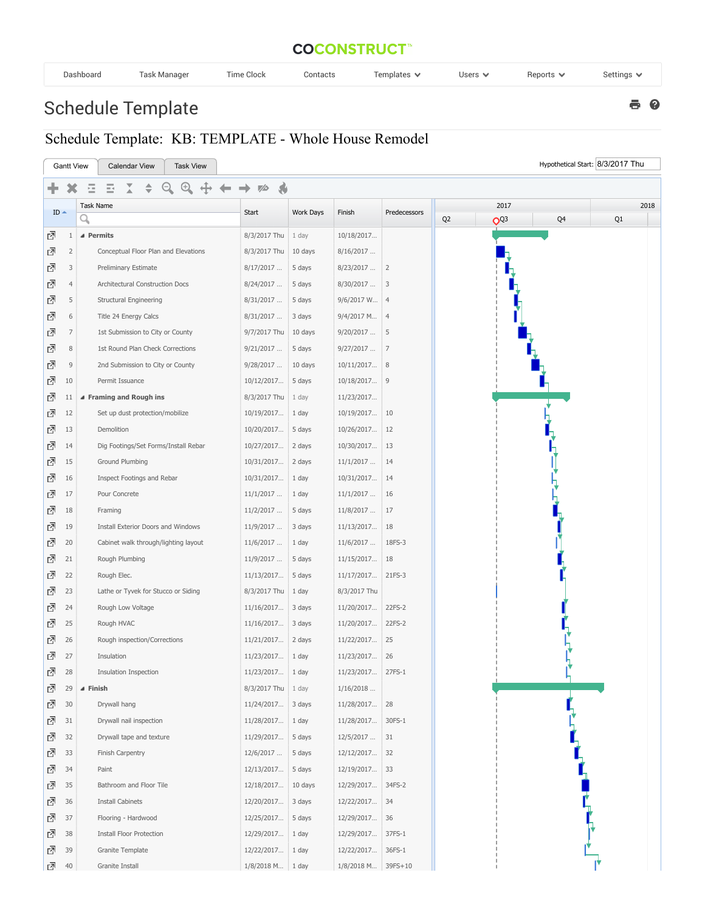## **COCONSTRUCT**<sup>\*\*</sup>

8 Q

| Task Manager<br>$-$<br>$-$<br>ime Clock<br>Dashboard<br>Contacts<br>Users $\vee$<br>Settings<br>$F$ Femplates $\vee$<br>Reports $\vee$ |  |
|----------------------------------------------------------------------------------------------------------------------------------------|--|
|----------------------------------------------------------------------------------------------------------------------------------------|--|

## Schedule Template

## Schedule Template: KB: TEMPLATE - Whole House Remodel

| Hypothetical Start: 8/3/2017 Thu<br><b>Gantt View</b><br><b>Calendar View</b><br><b>Task View</b> |                |                                      |                      |           |                    |                |                                   |          |  |
|---------------------------------------------------------------------------------------------------|----------------|--------------------------------------|----------------------|-----------|--------------------|----------------|-----------------------------------|----------|--|
|                                                                                                   |                |                                      |                      |           |                    |                |                                   |          |  |
| $ID -$                                                                                            |                | Task Name                            |                      |           |                    |                | 2017                              | 2018     |  |
|                                                                                                   |                | q                                    | Start                | Work Days | Finish             | Predecessors   | Q <sub>2</sub><br>Q <sub>Q3</sub> | Q4<br>Q1 |  |
| 囨                                                                                                 | $\mathbf{1}$   | ▲ Permits                            | 8/3/2017 Thu         | 1 day     | 10/18/2017         |                |                                   |          |  |
| 囨                                                                                                 | $\overline{2}$ | Conceptual Floor Plan and Elevations | 8/3/2017 Thu         | 10 days   | 8/16/2017          |                |                                   |          |  |
| 囨                                                                                                 | 3              | Preliminary Estimate                 | 8/17/2017            | 5 days    | 8/23/2017          | 2              |                                   |          |  |
| 囨                                                                                                 | $\overline{4}$ | Architectural Construction Docs      | 8/24/2017            | 5 days    | 8/30/2017          | 3              |                                   |          |  |
| 囨                                                                                                 | 5              | <b>Structural Engineering</b>        | 8/31/2017            | 5 days    | 9/6/2017 W         | $\overline{4}$ |                                   |          |  |
| 囨                                                                                                 | 6              | Title 24 Energy Calcs                | 8/31/2017            | 3 days    | 9/4/2017 M         | $\overline{4}$ |                                   |          |  |
| 囨                                                                                                 | $\overline{7}$ | 1st Submission to City or County     | 9/7/2017 Thu         | 10 days   | 9/20/2017          | 5              |                                   |          |  |
| 囨                                                                                                 | 8              | 1st Round Plan Check Corrections     | 9/21/2017            | 5 days    | 9/27/2017          | 7              |                                   |          |  |
| 囨                                                                                                 | $\mathsf 9$    | 2nd Submission to City or County     | 9/28/2017            | 10 days   | 10/11/2017         | 8              |                                   |          |  |
| 囨                                                                                                 | 10             | Permit Issuance                      | 10/12/2017           | 5 days    | 10/18/2017         | 9              |                                   |          |  |
| ⊡                                                                                                 | 11             | ▲ Framing and Rough ins              | 8/3/2017 Thu         | $ 1$ day  | 11/23/2017         |                |                                   |          |  |
| ⊡                                                                                                 | 12             | Set up dust protection/mobilize      | 10/19/2017           | 1 day     | 10/19/2017         | 10             |                                   |          |  |
| 囨                                                                                                 | 13             | Demolition                           | 10/20/2017           | 5 days    | 10/26/2017         | 12             |                                   |          |  |
| 囨                                                                                                 | 14             | Dig Footings/Set Forms/Install Rebar | 10/27/2017           | 2 days    | 10/30/2017         | 13             |                                   |          |  |
| 囨                                                                                                 | 15             | Ground Plumbing                      | 10/31/2017           | 2 days    | 11/1/2017          | 14             |                                   |          |  |
| 囨                                                                                                 | 16             | Inspect Footings and Rebar           | 10/31/2017           | 1 day     | 10/31/2017         | 14             |                                   |          |  |
| ⊡                                                                                                 | 17             | Pour Concrete                        | 11/1/2017            | 1 day     | 11/1/2017          | 16             |                                   |          |  |
| 囨                                                                                                 | 18             | Framing                              | 11/2/2017            | 5 days    | 11/8/2017          | 17             |                                   |          |  |
| ₫                                                                                                 | 19             | Install Exterior Doors and Windows   | 11/9/2017            | 3 days    | 11/13/2017         | 18             |                                   |          |  |
| ⊡                                                                                                 | 20             | Cabinet walk through/lighting layout | 11/6/2017            | 1 day     | 11/6/2017          | 18FS-3         |                                   |          |  |
| 囨                                                                                                 | 21             | Rough Plumbing                       | 11/9/2017            | 5 days    | 11/15/2017         | 18             |                                   |          |  |
| 囨                                                                                                 | 22             | Rough Elec.                          | 11/13/2017           | 5 days    | 11/17/2017         | 21FS-3         |                                   |          |  |
| ⊡                                                                                                 | 23             | Lathe or Tyvek for Stucco or Siding  | 8/3/2017 Thu         | $1$ day   | 8/3/2017 Thu       |                |                                   |          |  |
| 囨                                                                                                 | 24             | Rough Low Voltage                    | 11/16/2017           | 3 days    | 11/20/2017         | 22FS-2         |                                   |          |  |
| 囨                                                                                                 | 25             | Rough HVAC                           | 11/16/2017           | 3 days    | 11/20/2017         | 22FS-2         |                                   |          |  |
| ₫                                                                                                 | 26             | Rough inspection/Corrections         | 11/21/2017           | 2 days    | 11/22/2017         | 25             |                                   |          |  |
| 囨                                                                                                 | 27             | Insulation                           | 11/23/2017           | 1 day     | 11/23/2017         | 26             |                                   |          |  |
| ᇈ                                                                                                 | 28             | Insulation Inspection                | 11/23/2017           | 1 day     | 11/23/2017         | 27FS-1         |                                   |          |  |
| 囨                                                                                                 | 29             | ⊿ Finish                             | 8/3/2017 Thu   1 day |           | 1/16/2018          |                |                                   |          |  |
| 囨                                                                                                 | 30             | Drywall hang                         | 11/24/2017           | 3 days    | 11/28/2017         | 28             |                                   |          |  |
| 囨                                                                                                 | 31             | Drywall nail inspection              | 11/28/2017           | 1 day     | 11/28/2017         | 30FS-1         |                                   |          |  |
| ⊡                                                                                                 | 32             | Drywall tape and texture             | 11/29/2017           | 5 days    | 12/5/2017          | 31             |                                   |          |  |
| 囨                                                                                                 | 33             | Finish Carpentry                     | 12/6/2017            | 5 days    | 12/12/2017         | 32             |                                   |          |  |
| 囨                                                                                                 | 34             | Paint                                | 12/13/2017           | 5 days    | 12/19/2017         | 33             |                                   |          |  |
| ₫                                                                                                 | 35             | Bathroom and Floor Tile              | 12/18/2017           | 10 days   | 12/29/2017         | 34FS-2         |                                   |          |  |
| 囨                                                                                                 | 36             | <b>Install Cabinets</b>              | 12/20/2017           | 3 days    | 12/22/2017         | 34             |                                   |          |  |
| 囨                                                                                                 | 37             | Flooring - Hardwood                  | 12/25/2017           | 5 days    | 12/29/2017         | 36             |                                   |          |  |
| ⊡                                                                                                 | 38             | <b>Install Floor Protection</b>      | 12/29/2017           | 1 day     | 12/29/2017         | 37FS-1         |                                   |          |  |
| 囨                                                                                                 | 39             | Granite Template                     | 12/22/2017           | $1$ day   | 12/22/2017         | 36FS-1         |                                   |          |  |
| ₫                                                                                                 | 40             | Granite Install                      | $1/8/2018$ M   1 day |           | 1/8/2018 M 39FS+10 |                |                                   |          |  |